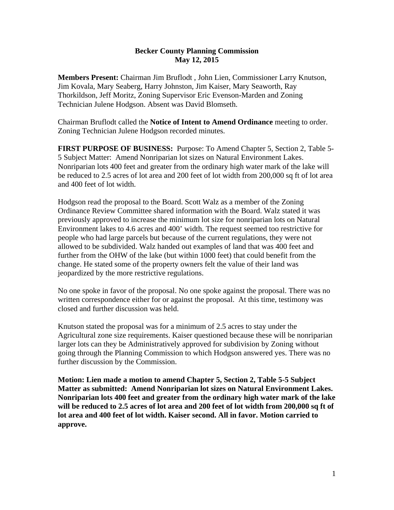## **Becker County Planning Commission May 12, 2015**

**Members Present:** Chairman Jim Bruflodt , John Lien, Commissioner Larry Knutson, Jim Kovala, Mary Seaberg, Harry Johnston, Jim Kaiser, Mary Seaworth, Ray Thorkildson, Jeff Moritz, Zoning Supervisor Eric Evenson-Marden and Zoning Technician Julene Hodgson. Absent was David Blomseth.

Chairman Bruflodt called the **Notice of Intent to Amend Ordinance** meeting to order. Zoning Technician Julene Hodgson recorded minutes.

**FIRST PURPOSE OF BUSINESS:** Purpose: To Amend Chapter 5, Section 2, Table 5- 5 Subject Matter: Amend Nonriparian lot sizes on Natural Environment Lakes. Nonriparian lots 400 feet and greater from the ordinary high water mark of the lake will be reduced to 2.5 acres of lot area and 200 feet of lot width from 200,000 sq ft of lot area and 400 feet of lot width.

Hodgson read the proposal to the Board. Scott Walz as a member of the Zoning Ordinance Review Committee shared information with the Board. Walz stated it was previously approved to increase the minimum lot size for nonriparian lots on Natural Environment lakes to 4.6 acres and 400' width. The request seemed too restrictive for people who had large parcels but because of the current regulations, they were not allowed to be subdivided. Walz handed out examples of land that was 400 feet and further from the OHW of the lake (but within 1000 feet) that could benefit from the change. He stated some of the property owners felt the value of their land was jeopardized by the more restrictive regulations.

No one spoke in favor of the proposal. No one spoke against the proposal. There was no written correspondence either for or against the proposal. At this time, testimony was closed and further discussion was held.

Knutson stated the proposal was for a minimum of 2.5 acres to stay under the Agricultural zone size requirements. Kaiser questioned because these will be nonriparian larger lots can they be Administratively approved for subdivision by Zoning without going through the Planning Commission to which Hodgson answered yes. There was no further discussion by the Commission.

**Motion: Lien made a motion to amend Chapter 5, Section 2, Table 5-5 Subject Matter as submitted: Amend Nonriparian lot sizes on Natural Environment Lakes. Nonriparian lots 400 feet and greater from the ordinary high water mark of the lake will be reduced to 2.5 acres of lot area and 200 feet of lot width from 200,000 sq ft of lot area and 400 feet of lot width. Kaiser second. All in favor. Motion carried to approve.**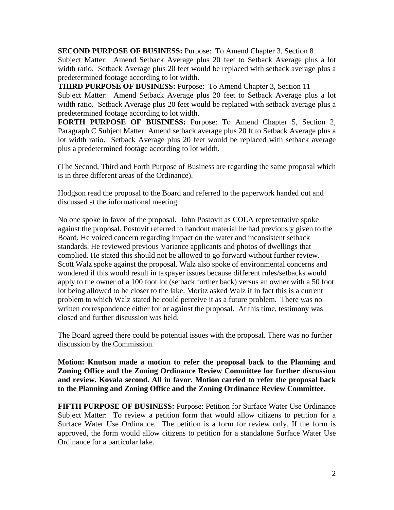**SECOND PURPOSE OF BUSINESS:** Purpose: To Amend Chapter 3, Section 8 Subject Matter: Amend Setback Average plus 20 feet to Setback Average plus a lot width ratio. Setback Average plus 20 feet would be replaced with setback average plus a predetermined footage according to lot width.

**THIRD PURPOSE OF BUSINESS:** Purpose: To Amend Chapter 3, Section 11 Subject Matter: Amend Setback Average plus 20 feet to Setback Average plus a lot width ratio. Setback Average plus 20 feet would be replaced with setback average plus a predetermined footage according to lot width.

**FORTH PURPOSE OF BUSINESS:** Purpose: To Amend Chapter 5, Section 2, Paragraph C Subject Matter: Amend setback average plus 20 ft to Setback Average plus a lot width ratio. Setback Average plus 20 feet would be replaced with setback average plus a predetermined footage according to lot width.

(The Second, Third and Forth Purpose of Business are regarding the same proposal which is in three different areas of the Ordinance).

Hodgson read the proposal to the Board and referred to the paperwork handed out and discussed at the informational meeting.

No one spoke in favor of the proposal. John Postovit as COLA representative spoke against the proposal. Postovit referred to handout material he had previously given to the Board. He voiced concern regarding impact on the water and inconsistent setback standards. He reviewed previous Variance applicants and photos of dwellings that complied. He stated this should not be allowed to go forward without further review. Scott Walz spoke against the proposal. Walz also spoke of environmental concerns and wondered if this would result in taxpayer issues because different rules/setbacks would apply to the owner of a 100 foot lot (setback further back) versus an owner with a 50 foot lot being allowed to be closer to the lake. Moritz asked Walz if in fact this is a current problem to which Walz stated he could perceive it as a future problem. There was no written correspondence either for or against the proposal. At this time, testimony was closed and further discussion was held.

The Board agreed there could be potential issues with the proposal. There was no further discussion by the Commission.

**Motion: Knutson made a motion to refer the proposal back to the Planning and Zoning Office and the Zoning Ordinance Review Committee for further discussion and review. Kovala second. All in favor. Motion carried to refer the proposal back to the Planning and Zoning Office and the Zoning Ordinance Review Committee.** 

**FIFTH PURPOSE OF BUSINESS:** Purpose: Petition for Surface Water Use Ordinance Subject Matter: To review a petition form that would allow citizens to petition for a Surface Water Use Ordinance. The petition is a form for review only. If the form is approved, the form would allow citizens to petition for a standalone Surface Water Use Ordinance for a particular lake.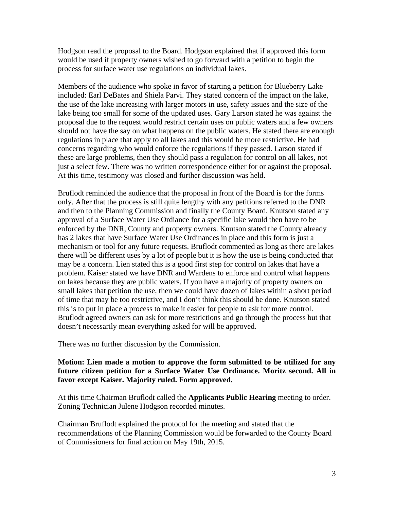Hodgson read the proposal to the Board. Hodgson explained that if approved this form would be used if property owners wished to go forward with a petition to begin the process for surface water use regulations on individual lakes.

Members of the audience who spoke in favor of starting a petition for Blueberry Lake included: Earl DeBates and Shiela Parvi. They stated concern of the impact on the lake, the use of the lake increasing with larger motors in use, safety issues and the size of the lake being too small for some of the updated uses. Gary Larson stated he was against the proposal due to the request would restrict certain uses on public waters and a few owners should not have the say on what happens on the public waters. He stated there are enough regulations in place that apply to all lakes and this would be more restrictive. He had concerns regarding who would enforce the regulations if they passed. Larson stated if these are large problems, then they should pass a regulation for control on all lakes, not just a select few. There was no written correspondence either for or against the proposal. At this time, testimony was closed and further discussion was held.

Bruflodt reminded the audience that the proposal in front of the Board is for the forms only. After that the process is still quite lengthy with any petitions referred to the DNR and then to the Planning Commission and finally the County Board. Knutson stated any approval of a Surface Water Use Ordiance for a specific lake would then have to be enforced by the DNR, County and property owners. Knutson stated the County already has 2 lakes that have Surface Water Use Ordinances in place and this form is just a mechanism or tool for any future requests. Bruflodt commented as long as there are lakes there will be different uses by a lot of people but it is how the use is being conducted that may be a concern. Lien stated this is a good first step for control on lakes that have a problem. Kaiser stated we have DNR and Wardens to enforce and control what happens on lakes because they are public waters. If you have a majority of property owners on small lakes that petition the use, then we could have dozen of lakes within a short period of time that may be too restrictive, and I don't think this should be done. Knutson stated this is to put in place a process to make it easier for people to ask for more control. Bruflodt agreed owners can ask for more restrictions and go through the process but that doesn't necessarily mean everything asked for will be approved.

There was no further discussion by the Commission.

## **Motion: Lien made a motion to approve the form submitted to be utilized for any future citizen petition for a Surface Water Use Ordinance. Moritz second. All in favor except Kaiser. Majority ruled. Form approved.**

At this time Chairman Bruflodt called the **Applicants Public Hearing** meeting to order. Zoning Technician Julene Hodgson recorded minutes.

Chairman Bruflodt explained the protocol for the meeting and stated that the recommendations of the Planning Commission would be forwarded to the County Board of Commissioners for final action on May 19th, 2015.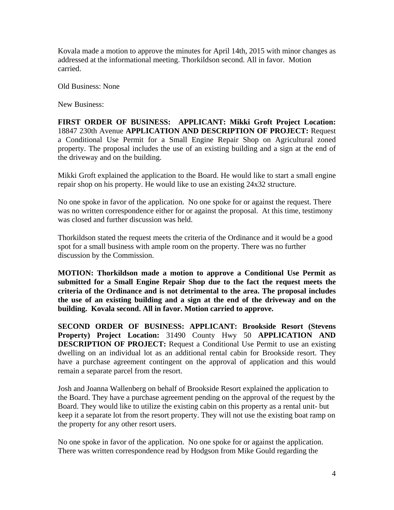Kovala made a motion to approve the minutes for April 14th, 2015 with minor changes as addressed at the informational meeting. Thorkildson second. All in favor. Motion carried.

Old Business: None

New Business:

**FIRST ORDER OF BUSINESS: APPLICANT: Mikki Groft Project Location:** 18847 230th Avenue **APPLICATION AND DESCRIPTION OF PROJECT:** Request a Conditional Use Permit for a Small Engine Repair Shop on Agricultural zoned property. The proposal includes the use of an existing building and a sign at the end of the driveway and on the building.

Mikki Groft explained the application to the Board. He would like to start a small engine repair shop on his property. He would like to use an existing 24x32 structure.

No one spoke in favor of the application. No one spoke for or against the request. There was no written correspondence either for or against the proposal. At this time, testimony was closed and further discussion was held.

Thorkildson stated the request meets the criteria of the Ordinance and it would be a good spot for a small business with ample room on the property. There was no further discussion by the Commission.

**MOTION: Thorkildson made a motion to approve a Conditional Use Permit as submitted for a Small Engine Repair Shop due to the fact the request meets the criteria of the Ordinance and is not detrimental to the area. The proposal includes the use of an existing building and a sign at the end of the driveway and on the building. Kovala second. All in favor. Motion carried to approve.** 

**SECOND ORDER OF BUSINESS: APPLICANT: Brookside Resort (Stevens Property) Project Location:** 31490 County Hwy 50 **APPLICATION AND DESCRIPTION OF PROJECT:** Request a Conditional Use Permit to use an existing dwelling on an individual lot as an additional rental cabin for Brookside resort. They have a purchase agreement contingent on the approval of application and this would remain a separate parcel from the resort.

Josh and Joanna Wallenberg on behalf of Brookside Resort explained the application to the Board. They have a purchase agreement pending on the approval of the request by the Board. They would like to utilize the existing cabin on this property as a rental unit- but keep it a separate lot from the resort property. They will not use the existing boat ramp on the property for any other resort users.

No one spoke in favor of the application. No one spoke for or against the application. There was written correspondence read by Hodgson from Mike Gould regarding the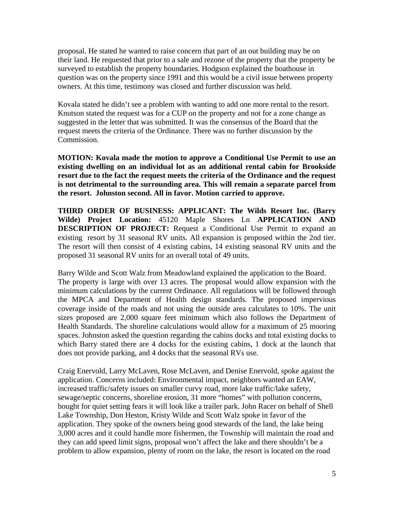proposal. He stated he wanted to raise concern that part of an out building may be on their land. He requested that prior to a sale and rezone of the property that the property be surveyed to establish the property boundaries. Hodgson explained the boathouse in question was on the property since 1991 and this would be a civil issue between property owners. At this time, testimony was closed and further discussion was held.

Kovala stated he didn't see a problem with wanting to add one more rental to the resort. Knutson stated the request was for a CUP on the property and not for a zone change as suggested in the letter that was submitted. It was the consensus of the Board that the request meets the criteria of the Ordinance. There was no further discussion by the Commission.

**MOTION: Kovala made the motion to approve a Conditional Use Permit to use an existing dwelling on an individual lot as an additional rental cabin for Brookside resort due to the fact the request meets the criteria of the Ordinance and the request is not detrimental to the surrounding area. This will remain a separate parcel from the resort. Johnston second. All in favor. Motion carried to approve.** 

**THIRD ORDER OF BUSINESS: APPLICANT: The Wilds Resort Inc. (Barry Wilde) Project Location:** 45120 Maple Shores Ln **APPLICATION AND DESCRIPTION OF PROJECT:** Request a Conditional Use Permit to expand an existing resort by 31 seasonal RV units. All expansion is proposed within the 2nd tier. The resort will then consist of 4 existing cabins, 14 existing seasonal RV units and the proposed 31 seasonal RV units for an overall total of 49 units.

Barry Wilde and Scott Walz from Meadowland explained the application to the Board. The property is large with over 13 acres. The proposal would allow expansion with the minimum calculations by the current Ordinance. All regulations will be followed through the MPCA and Department of Health design standards. The proposed impervious coverage inside of the roads and not using the outside area calculates to 10%. The unit sizes proposed are 2,000 square feet minimum which also follows the Department of Health Standards. The shoreline calculations would allow for a maximum of 25 mooring spaces. Johnston asked the question regarding the cabins docks and total existing docks to which Barry stated there are 4 docks for the existing cabins, 1 dock at the launch that does not provide parking, and 4 docks that the seasonal RVs use.

Craig Enervold, Larry McLaven, Rose McLaven, and Denise Enervold, spoke against the application. Concerns included: Environmental impact, neighbors wanted an EAW, increased traffic/safety issues on smaller curvy road, more lake traffic/lake safety, sewage/septic concerns, shoreline erosion, 31 more "homes" with pollution concerns, bought for quiet setting fears it will look like a trailer park. John Racer on behalf of Shell Lake Township, Don Heston, Kristy Wilde and Scott Walz spoke in favor of the application. They spoke of the owners being good stewards of the land, the lake being 3,000 acres and it could handle more fishermen, the Township will maintain the road and they can add speed limit signs, proposal won't affect the lake and there shouldn't be a problem to allow expansion, plenty of room on the lake, the resort is located on the road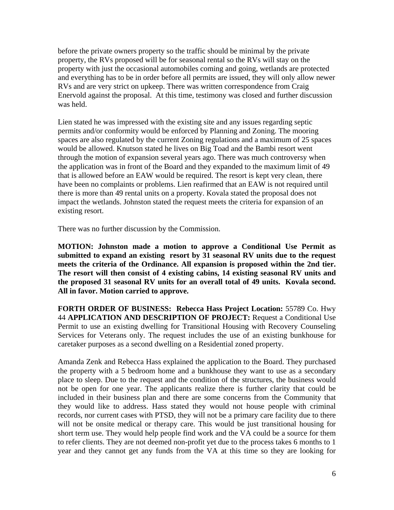before the private owners property so the traffic should be minimal by the private property, the RVs proposed will be for seasonal rental so the RVs will stay on the property with just the occasional automobiles coming and going, wetlands are protected and everything has to be in order before all permits are issued, they will only allow newer RVs and are very strict on upkeep. There was written correspondence from Craig Enervold against the proposal. At this time, testimony was closed and further discussion was held.

Lien stated he was impressed with the existing site and any issues regarding septic permits and/or conformity would be enforced by Planning and Zoning. The mooring spaces are also regulated by the current Zoning regulations and a maximum of 25 spaces would be allowed. Knutson stated he lives on Big Toad and the Bambi resort went through the motion of expansion several years ago. There was much controversy when the application was in front of the Board and they expanded to the maximum limit of 49 that is allowed before an EAW would be required. The resort is kept very clean, there have been no complaints or problems. Lien reafirmed that an EAW is not required until there is more than 49 rental units on a property. Kovala stated the proposal does not impact the wetlands. Johnston stated the request meets the criteria for expansion of an existing resort.

There was no further discussion by the Commission.

**MOTION: Johnston made a motion to approve a Conditional Use Permit as submitted to expand an existing resort by 31 seasonal RV units due to the request meets the criteria of the Ordinance. All expansion is proposed within the 2nd tier. The resort will then consist of 4 existing cabins, 14 existing seasonal RV units and the proposed 31 seasonal RV units for an overall total of 49 units. Kovala second. All in favor. Motion carried to approve.** 

**FORTH ORDER OF BUSINESS: Rebecca Hass Project Location:** 55789 Co. Hwy 44 **APPLICATION AND DESCRIPTION OF PROJECT:** Request a Conditional Use Permit to use an existing dwelling for Transitional Housing with Recovery Counseling Services for Veterans only. The request includes the use of an existing bunkhouse for caretaker purposes as a second dwelling on a Residential zoned property.

Amanda Zenk and Rebecca Hass explained the application to the Board. They purchased the property with a 5 bedroom home and a bunkhouse they want to use as a secondary place to sleep. Due to the request and the condition of the structures, the business would not be open for one year. The applicants realize there is further clarity that could be included in their business plan and there are some concerns from the Community that they would like to address. Hass stated they would not house people with criminal records, nor current cases with PTSD, they will not be a primary care facility due to there will not be onsite medical or therapy care. This would be just transitional housing for short term use. They would help people find work and the VA could be a source for them to refer clients. They are not deemed non-profit yet due to the process takes 6 months to 1 year and they cannot get any funds from the VA at this time so they are looking for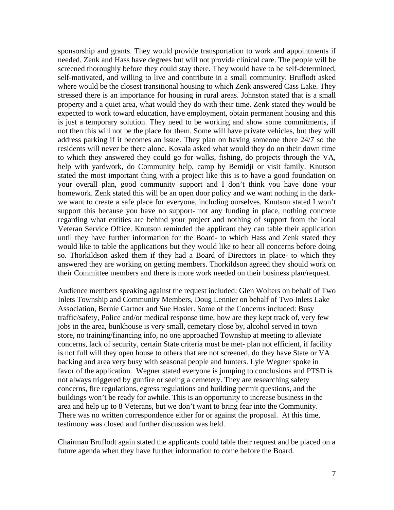sponsorship and grants. They would provide transportation to work and appointments if needed. Zenk and Hass have degrees but will not provide clinical care. The people will be screened thoroughly before they could stay there. They would have to be self-determined, self-motivated, and willing to live and contribute in a small community. Bruflodt asked where would be the closest transitional housing to which Zenk answered Cass Lake. They stressed there is an importance for housing in rural areas. Johnston stated that is a small property and a quiet area, what would they do with their time. Zenk stated they would be expected to work toward education, have employment, obtain permanent housing and this is just a temporary solution. They need to be working and show some commitments, if not then this will not be the place for them. Some will have private vehicles, but they will address parking if it becomes an issue. They plan on having someone there 24/7 so the residents will never be there alone. Kovala asked what would they do on their down time to which they answered they could go for walks, fishing, do projects through the VA, help with yardwork, do Community help, camp by Bemidji or visit family. Knutson stated the most important thing with a project like this is to have a good foundation on your overall plan, good community support and I don't think you have done your homework. Zenk stated this will be an open door policy and we want nothing in the darkwe want to create a safe place for everyone, including ourselves. Knutson stated I won't support this because you have no support- not any funding in place, nothing concrete regarding what entities are behind your project and nothing of support from the local Veteran Service Office. Knutson reminded the applicant they can table their application until they have further information for the Board- to which Hass and Zenk stated they would like to table the applications but they would like to hear all concerns before doing so. Thorkildson asked them if they had a Board of Directors in place- to which they answered they are working on getting members. Thorkildson agreed they should work on their Committee members and there is more work needed on their business plan/request.

Audience members speaking against the request included: Glen Wolters on behalf of Two Inlets Township and Community Members, Doug Lennier on behalf of Two Inlets Lake Association, Bernie Gartner and Sue Hosler. Some of the Concerns included: Busy traffic/safety, Police and/or medical response time, how are they kept track of, very few jobs in the area, bunkhouse is very small, cemetary close by, alcohol served in town store, no training/financing info, no one approached Township at meeting to alleviate concerns, lack of security, certain State criteria must be met- plan not efficient, if facility is not full will they open house to others that are not screened, do they have State or VA backing and area very busy with seasonal people and hunters. Lyle Wegner spoke in favor of the application. Wegner stated everyone is jumping to conclusions and PTSD is not always triggered by gunfire or seeing a cemetery. They are researching safety concerns, fire regulations, egress regulations and building permit questions, and the buildings won't be ready for awhile. This is an opportunity to increase business in the area and help up to 8 Veterans, but we don't want to bring fear into the Community. There was no written correspondence either for or against the proposal. At this time, testimony was closed and further discussion was held.

Chairman Bruflodt again stated the applicants could table their request and be placed on a future agenda when they have further information to come before the Board.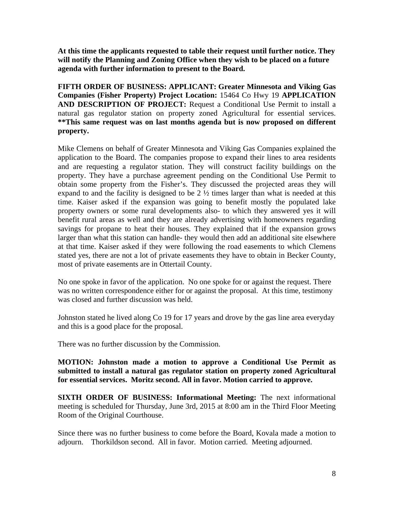**At this time the applicants requested to table their request until further notice. They will notify the Planning and Zoning Office when they wish to be placed on a future agenda with further information to present to the Board.** 

**FIFTH ORDER OF BUSINESS: APPLICANT: Greater Minnesota and Viking Gas Companies (Fisher Property) Project Location:** 15464 Co Hwy 19 **APPLICATION AND DESCRIPTION OF PROJECT:** Request a Conditional Use Permit to install a natural gas regulator station on property zoned Agricultural for essential services. **\*\*This same request was on last months agenda but is now proposed on different property.** 

Mike Clemens on behalf of Greater Minnesota and Viking Gas Companies explained the application to the Board. The companies propose to expand their lines to area residents and are requesting a regulator station. They will construct facility buildings on the property. They have a purchase agreement pending on the Conditional Use Permit to obtain some property from the Fisher's. They discussed the projected areas they will expand to and the facility is designed to be  $2 \frac{1}{2}$  times larger than what is needed at this time. Kaiser asked if the expansion was going to benefit mostly the populated lake property owners or some rural developments also- to which they answered yes it will benefit rural areas as well and they are already advertising with homeowners regarding savings for propane to heat their houses. They explained that if the expansion grows larger than what this station can handle- they would then add an additional site elsewhere at that time. Kaiser asked if they were following the road easements to which Clemens stated yes, there are not a lot of private easements they have to obtain in Becker County, most of private easements are in Ottertail County.

No one spoke in favor of the application. No one spoke for or against the request. There was no written correspondence either for or against the proposal. At this time, testimony was closed and further discussion was held.

Johnston stated he lived along Co 19 for 17 years and drove by the gas line area everyday and this is a good place for the proposal.

There was no further discussion by the Commission.

**MOTION: Johnston made a motion to approve a Conditional Use Permit as submitted to install a natural gas regulator station on property zoned Agricultural for essential services. Moritz second. All in favor. Motion carried to approve.** 

**SIXTH ORDER OF BUSINESS: Informational Meeting:** The next informational meeting is scheduled for Thursday, June 3rd, 2015 at 8:00 am in the Third Floor Meeting Room of the Original Courthouse.

Since there was no further business to come before the Board, Kovala made a motion to adjourn. Thorkildson second. All in favor. Motion carried. Meeting adjourned.